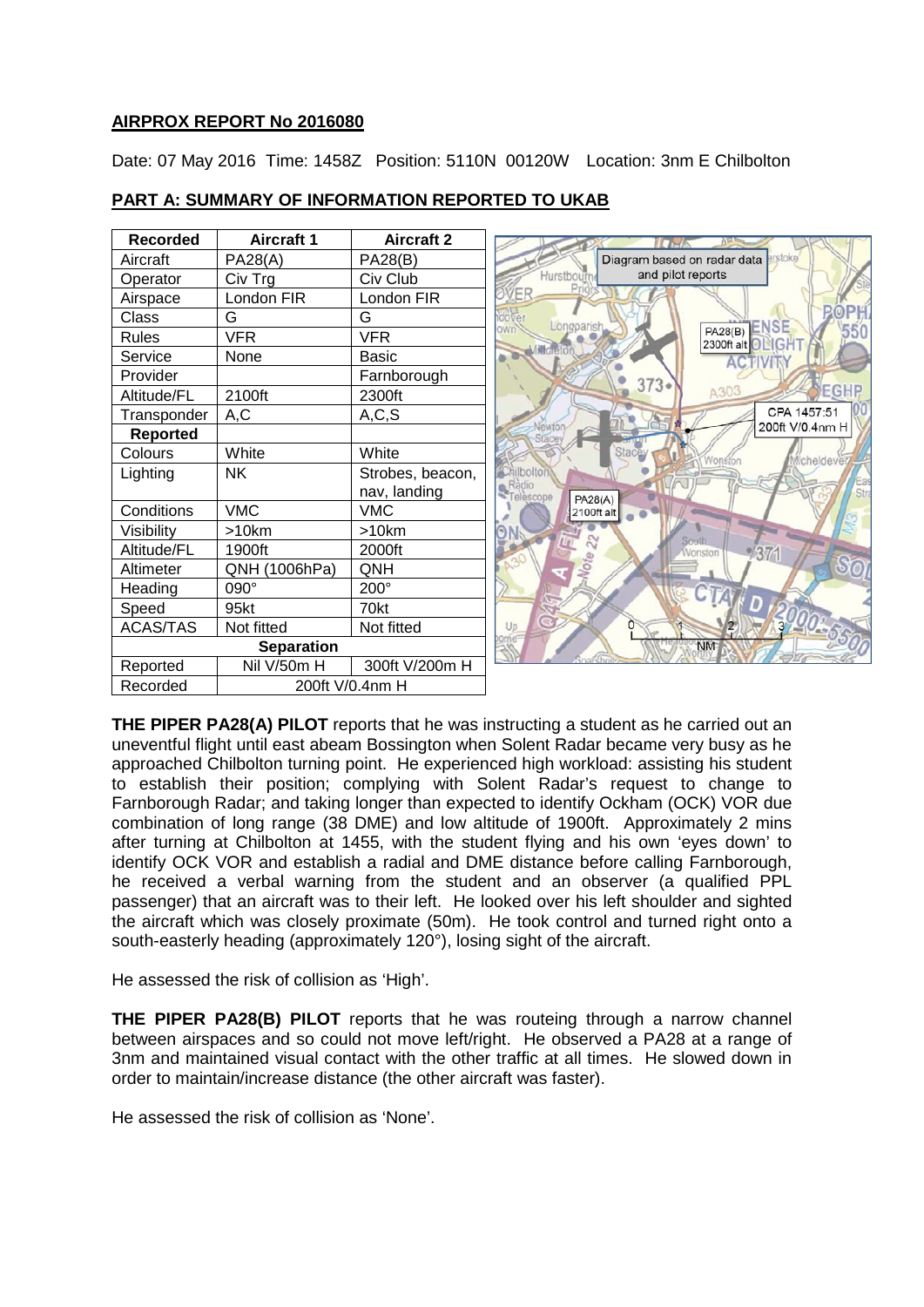## **AIRPROX REPORT No 2016080**

Date: 07 May 2016 Time: 1458Z Position: 5110N 00120W Location: 3nm E Chilbolton

| <b>Recorded</b>   | <b>Aircraft 1</b> | <b>Aircraft 2</b> |
|-------------------|-------------------|-------------------|
| Aircraft          | <b>PA28(A)</b>    | <b>PA28(B)</b>    |
| Operator          | Civ Trg           | Civ Club          |
| Airspace          | London FIR        | London FIR        |
| Class             | G                 | G                 |
| <b>Rules</b>      | <b>VFR</b>        | <b>VFR</b>        |
| Service           | None              | Basic             |
| Provider          |                   | Farnborough       |
| Altitude/FL       | 2100ft            | 2300ft            |
| Transponder       | A,C               | A, C, S           |
| <b>Reported</b>   |                   |                   |
| Colours           | White             | White             |
| Lighting          | NΚ                | Strobes, beacon,  |
|                   |                   | nav, landing      |
| Conditions        | <b>VMC</b>        | VMC               |
| Visibility        | >10km             | >10km             |
| Altitude/FL       | 1900ft            | 2000ft            |
| Altimeter         | QNH (1006hPa)     | ONH               |
| Heading           | 090°              | 200°              |
| Speed             | 95kt              | 70kt              |
| <b>ACAS/TAS</b>   | Not fitted        | Not fitted        |
| <b>Separation</b> |                   |                   |
| Reported          | Nil V/50m H       | 300ft V/200m H    |
| Recorded          | 200ft V/0.4nm H   |                   |

## **PART A: SUMMARY OF INFORMATION REPORTED TO UKAB**



**THE PIPER PA28(A) PILOT** reports that he was instructing a student as he carried out an uneventful flight until east abeam Bossington when Solent Radar became very busy as he approached Chilbolton turning point. He experienced high workload: assisting his student to establish their position; complying with Solent Radar's request to change to Farnborough Radar; and taking longer than expected to identify Ockham (OCK) VOR due combination of long range (38 DME) and low altitude of 1900ft. Approximately 2 mins after turning at Chilbolton at 1455, with the student flying and his own 'eyes down' to identify OCK VOR and establish a radial and DME distance before calling Farnborough, he received a verbal warning from the student and an observer (a qualified PPL passenger) that an aircraft was to their left. He looked over his left shoulder and sighted the aircraft which was closely proximate (50m). He took control and turned right onto a south-easterly heading (approximately 120°), losing sight of the aircraft.

He assessed the risk of collision as 'High'.

**THE PIPER PA28(B) PILOT** reports that he was routeing through a narrow channel between airspaces and so could not move left/right. He observed a PA28 at a range of 3nm and maintained visual contact with the other traffic at all times. He slowed down in order to maintain/increase distance (the other aircraft was faster).

He assessed the risk of collision as 'None'.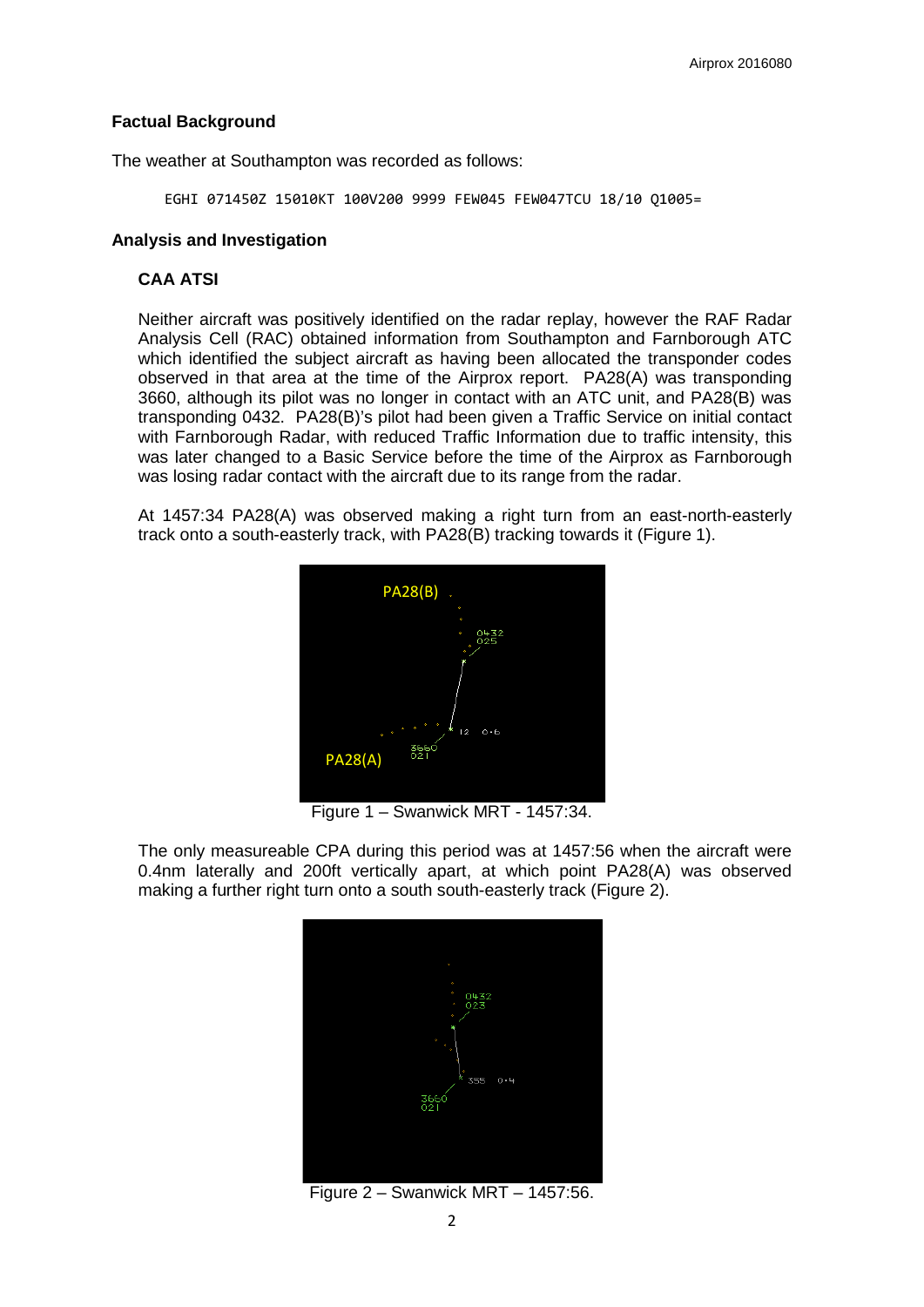#### **Factual Background**

The weather at Southampton was recorded as follows:

EGHI 071450Z 15010KT 100V200 9999 FEW045 FEW047TCU 18/10 Q1005=

#### **Analysis and Investigation**

### **CAA ATSI**

Neither aircraft was positively identified on the radar replay, however the RAF Radar Analysis Cell (RAC) obtained information from Southampton and Farnborough ATC which identified the subject aircraft as having been allocated the transponder codes observed in that area at the time of the Airprox report. PA28(A) was transponding 3660, although its pilot was no longer in contact with an ATC unit, and PA28(B) was transponding 0432. PA28(B)'s pilot had been given a Traffic Service on initial contact with Farnborough Radar, with reduced Traffic Information due to traffic intensity, this was later changed to a Basic Service before the time of the Airprox as Farnborough was losing radar contact with the aircraft due to its range from the radar.

At 1457:34 PA28(A) was observed making a right turn from an east-north-easterly track onto a south-easterly track, with PA28(B) tracking towards it (Figure 1).



Figure 1 – Swanwick MRT - 1457:34.

The only measureable CPA during this period was at 1457:56 when the aircraft were 0.4nm laterally and 200ft vertically apart, at which point PA28(A) was observed making a further right turn onto a south south-easterly track (Figure 2).



Figure 2 – Swanwick MRT – 1457:56.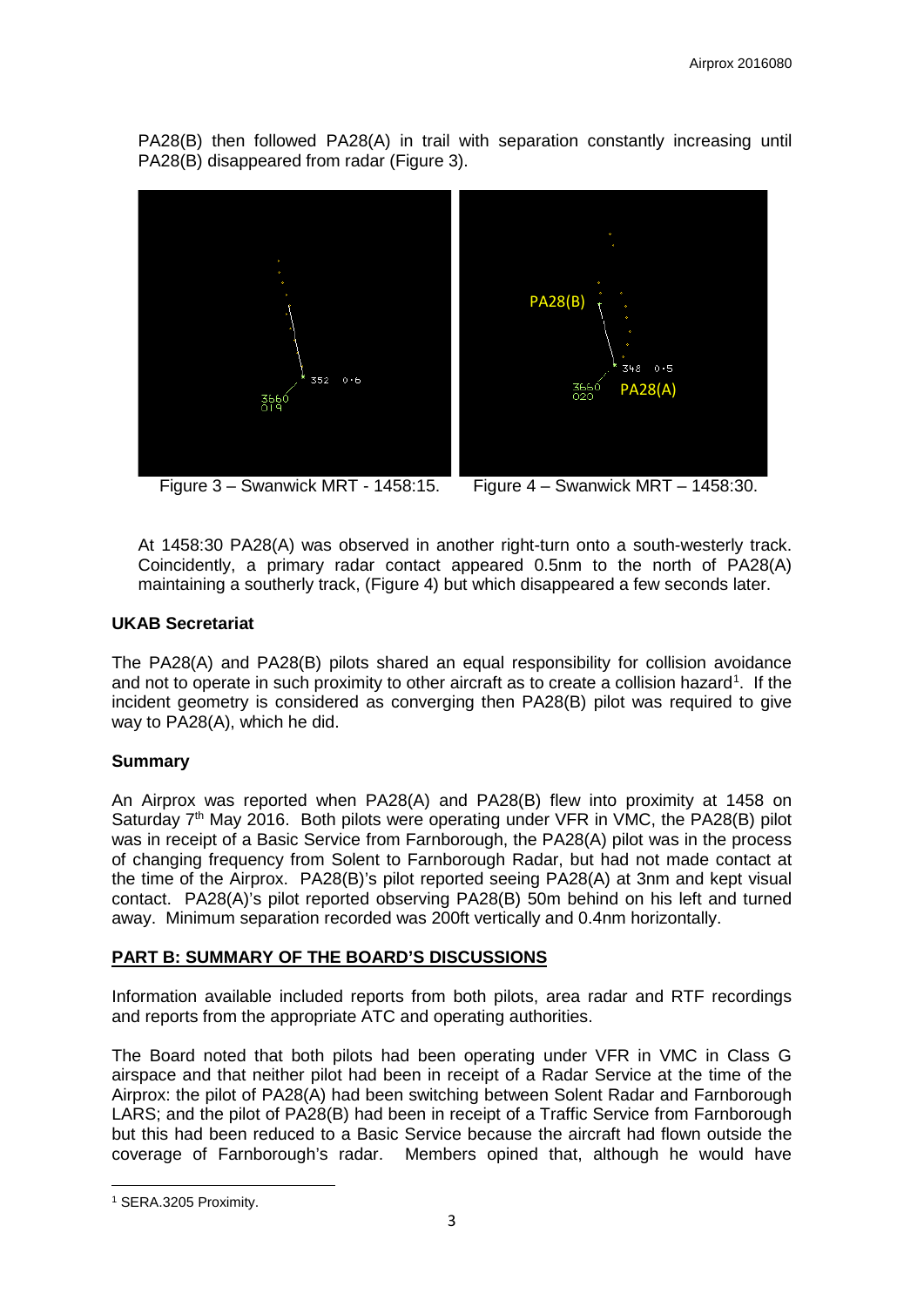PA28(B) then followed PA28(A) in trail with separation constantly increasing until PA28(B) disappeared from radar (Figure 3).





At 1458:30 PA28(A) was observed in another right-turn onto a south-westerly track. Coincidently, a primary radar contact appeared 0.5nm to the north of PA28(A) maintaining a southerly track, (Figure 4) but which disappeared a few seconds later.

## **UKAB Secretariat**

The PA28(A) and PA28(B) pilots shared an equal responsibility for collision avoidance and not to operate in such proximity to other aircraft as to create a collision hazard<sup>[1](#page-2-0)</sup>. If the incident geometry is considered as converging then PA28(B) pilot was required to give way to PA28(A), which he did.

# **Summary**

An Airprox was reported when PA28(A) and PA28(B) flew into proximity at 1458 on Saturday  $7<sup>th</sup>$  May 2016. Both pilots were operating under VFR in VMC, the PA28(B) pilot was in receipt of a Basic Service from Farnborough, the PA28(A) pilot was in the process of changing frequency from Solent to Farnborough Radar, but had not made contact at the time of the Airprox. PA28(B)'s pilot reported seeing PA28(A) at 3nm and kept visual contact. PA28(A)'s pilot reported observing PA28(B) 50m behind on his left and turned away. Minimum separation recorded was 200ft vertically and 0.4nm horizontally.

# **PART B: SUMMARY OF THE BOARD'S DISCUSSIONS**

Information available included reports from both pilots, area radar and RTF recordings and reports from the appropriate ATC and operating authorities.

The Board noted that both pilots had been operating under VFR in VMC in Class G airspace and that neither pilot had been in receipt of a Radar Service at the time of the Airprox: the pilot of PA28(A) had been switching between Solent Radar and Farnborough LARS; and the pilot of PA28(B) had been in receipt of a Traffic Service from Farnborough but this had been reduced to a Basic Service because the aircraft had flown outside the coverage of Farnborough's radar. Members opined that, although he would have

<span id="page-2-0"></span>**<sup>.</sup>** <sup>1</sup> SERA.3205 Proximity.